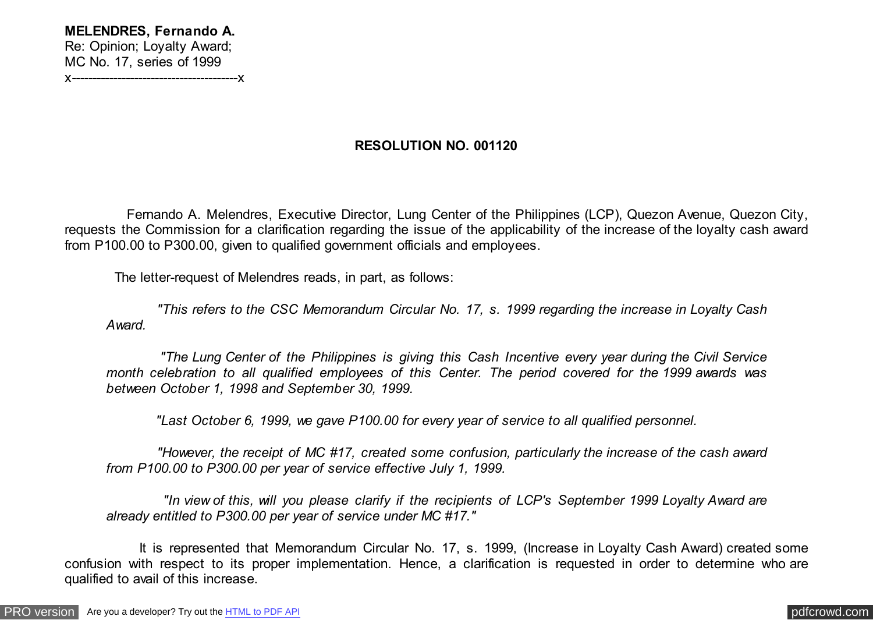## **RESOLUTION NO. 001120**

 Fernando A. Melendres, Executive Director, Lung Center of the Philippines (LCP), Quezon Avenue, Quezon City, requests the Commission for a clarification regarding the issue of the applicability of the increase of the loyalty cash award from P100.00 to P300.00, given to qualified government officials and employees.

The letter-request of Melendres reads, in part, as follows:

 *"This refers to the CSC Memorandum Circular No. 17, s. 1999 regarding the increase in Loyalty Cash Award.*

 *"The Lung Center of the Philippines is giving this Cash Incentive every year during the Civil Service month celebration to all qualified employees of this Center. The period covered for the 1999 awards was between October 1, 1998 and September 30, 1999.*

 *"Last October 6, 1999, we gave P100.00 for every year of service to all qualified personnel.*

 *"However, the receipt of MC #17, created some confusion, particularly the increase of the cash award from P100.00 to P300.00 per year of service effective July 1, 1999.*

 *"In view of this, will you please clarify if the recipients of LCP's September 1999 Loyalty Award are already entitled to P300.00 per year of service under MC #17."*

 It is represented that Memorandum Circular No. 17, s. 1999, (Increase in Loyalty Cash Award) created some confusion with respect to its proper implementation. Hence, a clarification is requested in order to determine who are qualified to avail of this increase.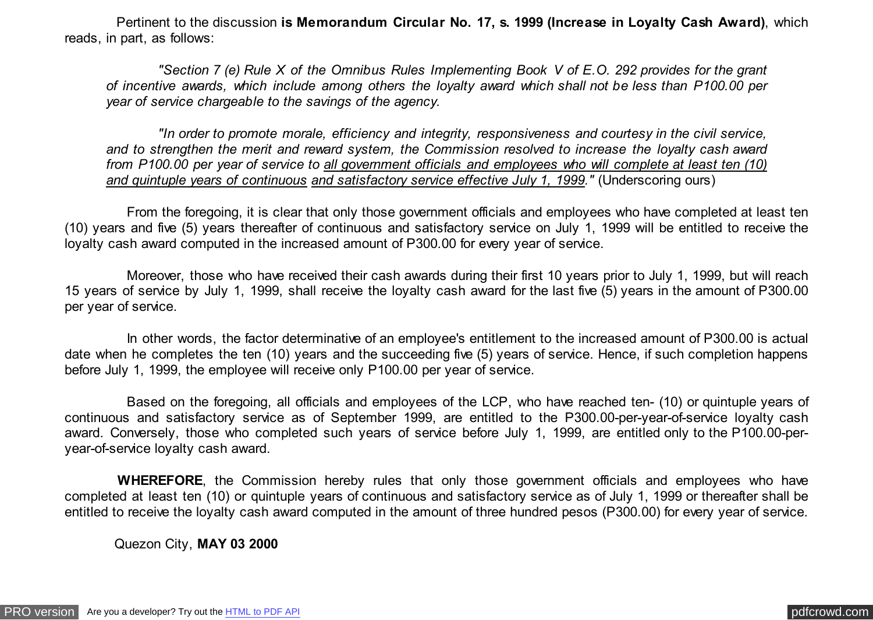Pertinent to the discussion **is Memorandum Circular No. 17, s. 1999 (Increase in Loyalty Cash Award)**, which reads, in part, as follows:

 *"Section 7 (e) Rule X of the Omnibus Rules Implementing Book V of E.O. 292 provides for the grant of incentive awards, which include among others the loyalty award which shall not be less than P100.00 per year of service chargeable to the savings of the agency.*

 *"In order to promote morale, efficiency and integrity, responsiveness and courtesy in the civil service, and to strengthen the merit and reward system, the Commission resolved to increase the loyalty cash award from P100.00 per year of service to all government officials and employees who will complete at least ten (10) and quintuple years of continuous and satisfactory service effective July 1, 1999."* (Underscoring ours)

 From the foregoing, it is clear that only those government officials and employees who have completed at least ten (10) years and five (5) years thereafter of continuous and satisfactory service on July 1, 1999 will be entitled to receive the loyalty cash award computed in the increased amount of P300.00 for every year of service.

 Moreover, those who have received their cash awards during their first 10 years prior to July 1, 1999, but will reach 15 years of service by July 1, 1999, shall receive the loyalty cash award for the last five (5) years in the amount of P300.00 per year of service.

 In other words, the factor determinative of an employee's entitlement to the increased amount of P300.00 is actual date when he completes the ten (10) years and the succeeding five (5) years of service. Hence, if such completion happens before July 1, 1999, the employee will receive only P100.00 per year of service.

 Based on the foregoing, all officials and employees of the LCP, who have reached ten- (10) or quintuple years of continuous and satisfactory service as of September 1999, are entitled to the P300.00-per-year-of-service loyalty cash award. Conversely, those who completed such years of service before July 1, 1999, are entitled only to the P100.00-peryear-of-service loyalty cash award.

 **WHEREFORE**, the Commission hereby rules that only those government officials and employees who have completed at least ten (10) or quintuple years of continuous and satisfactory service as of July 1, 1999 or thereafter shall be entitled to receive the loyalty cash award computed in the amount of three hundred pesos (P300.00) for every year of service.

Quezon City, **MAY 03 2000**